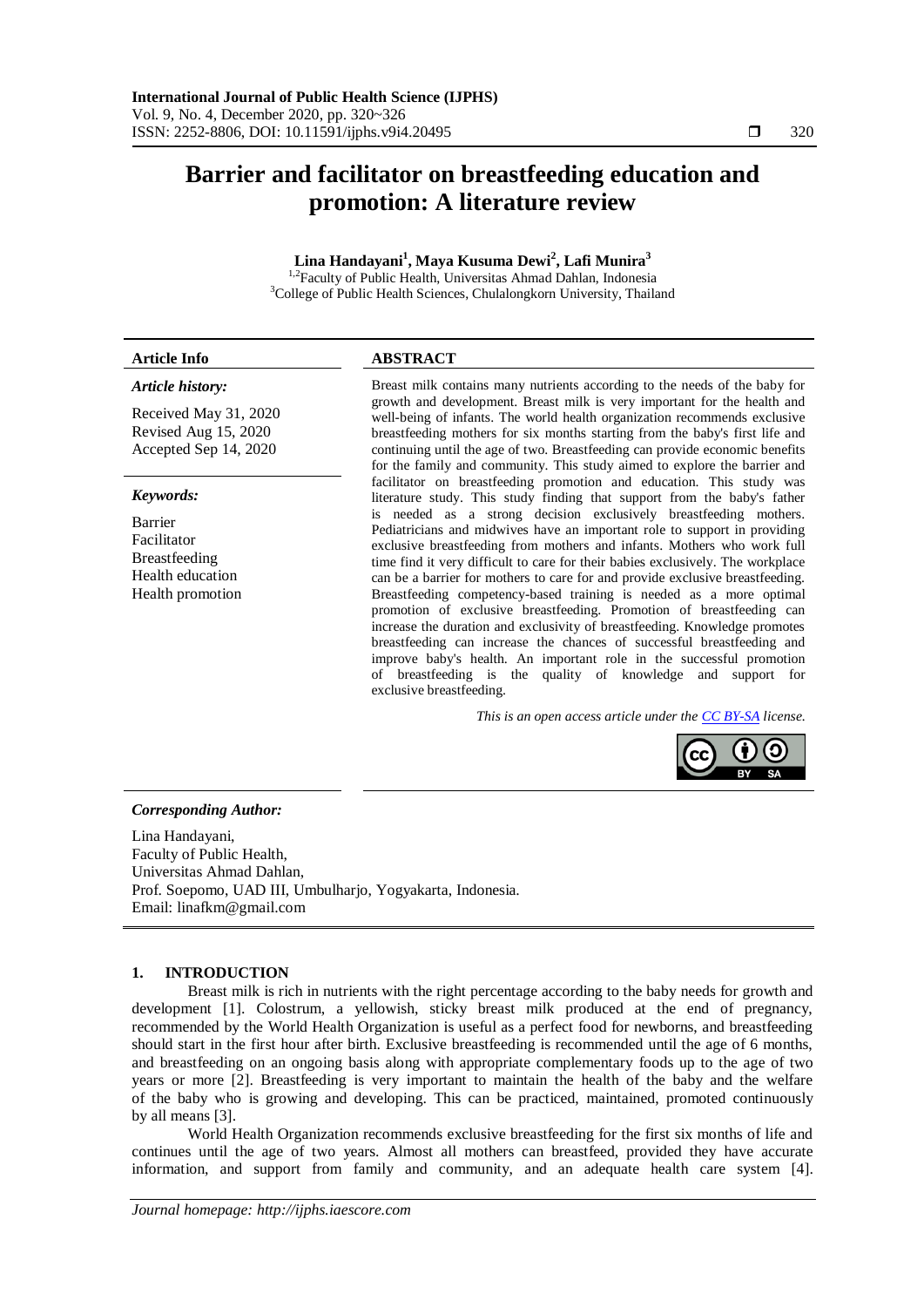# **Barrier and facilitator on breastfeeding education and promotion: A literature review**

# **Lina Handayani<sup>1</sup> , Maya Kusuma Dewi<sup>2</sup> , Lafi Munira<sup>3</sup>**

<sup>1,2</sup>Faculty of Public Health, Universitas Ahmad Dahlan, Indonesia <sup>3</sup>College of Public Health Sciences, Chulalongkorn University, Thailand

### *Article history:*

Received May 31, 2020 Revised Aug 15, 2020 Accepted Sep 14, 2020

#### *Keywords:*

Barrier Facilitator Breastfeeding Health education Health promotion

## **Article Info ABSTRACT**

Breast milk contains many nutrients according to the needs of the baby for growth and development. Breast milk is very important for the health and well-being of infants. The world health organization recommends exclusive breastfeeding mothers for six months starting from the baby's first life and continuing until the age of two. Breastfeeding can provide economic benefits for the family and community. This study aimed to explore the barrier and facilitator on breastfeeding promotion and education. This study was literature study. This study finding that support from the baby's father is needed as a strong decision exclusively breastfeeding mothers. Pediatricians and midwives have an important role to support in providing exclusive breastfeeding from mothers and infants. Mothers who work full time find it very difficult to care for their babies exclusively. The workplace can be a barrier for mothers to care for and provide exclusive breastfeeding. Breastfeeding competency-based training is needed as a more optimal promotion of exclusive breastfeeding. Promotion of breastfeeding can increase the duration and exclusivity of breastfeeding. Knowledge promotes breastfeeding can increase the chances of successful breastfeeding and improve baby's health. An important role in the successful promotion of breastfeeding is the quality of knowledge and support for exclusive breastfeeding.

*This is an open access article under the [CC BY-SA](https://creativecommons.org/licenses/by-sa/4.0/) license.*



## *Corresponding Author:*

Lina Handayani, Faculty of Public Health, Universitas Ahmad Dahlan, Prof. Soepomo, UAD III, Umbulharjo, Yogyakarta, Indonesia. Email: linafkm@gmail.com

## **1. INTRODUCTION**

Breast milk is rich in nutrients with the right percentage according to the baby needs for growth and development [1]. Colostrum, a yellowish, sticky breast milk produced at the end of pregnancy, recommended by the World Health Organization is useful as a perfect food for newborns, and breastfeeding should start in the first hour after birth. Exclusive breastfeeding is recommended until the age of 6 months, and breastfeeding on an ongoing basis along with appropriate complementary foods up to the age of two years or more [2]. Breastfeeding is very important to maintain the health of the baby and the welfare of the baby who is growing and developing. This can be practiced, maintained, promoted continuously by all means [3].

World Health Organization recommends exclusive breastfeeding for the first six months of life and continues until the age of two years. Almost all mothers can breastfeed, provided they have accurate information, and support from family and community, and an adequate health care system [4].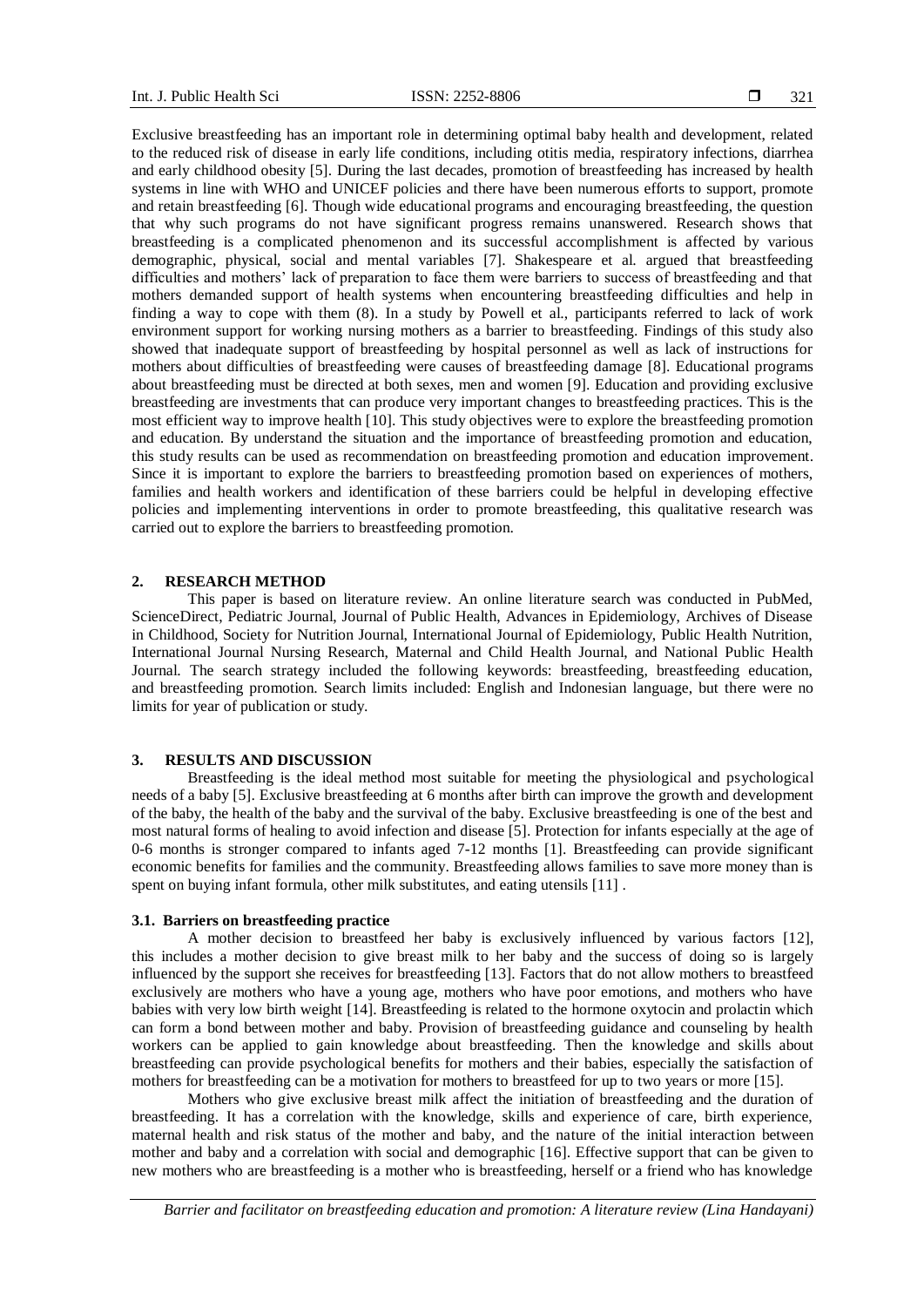Exclusive breastfeeding has an important role in determining optimal baby health and development, related to the reduced risk of disease in early life conditions, including otitis media, respiratory infections, diarrhea and early childhood obesity [5]. During the last decades, promotion of breastfeeding has increased by health systems in line with WHO and UNICEF policies and there have been numerous efforts to support, promote and retain breastfeeding [6]. Though wide educational programs and encouraging breastfeeding, the question that why such programs do not have significant progress remains unanswered. Research shows that breastfeeding is a complicated phenomenon and its successful accomplishment is affected by various demographic, physical, social and mental variables [7]. Shakespeare et al. argued that breastfeeding difficulties and mothers' lack of preparation to face them were barriers to success of breastfeeding and that mothers demanded support of health systems when encountering breastfeeding difficulties and help in finding a way to cope with them (8). In a study by Powell et al., participants referred to lack of work environment support for working nursing mothers as a barrier to breastfeeding. Findings of this study also showed that inadequate support of breastfeeding by hospital personnel as well as lack of instructions for mothers about difficulties of breastfeeding were causes of breastfeeding damage [8]. Educational programs about breastfeeding must be directed at both sexes, men and women [9]. Education and providing exclusive breastfeeding are investments that can produce very important changes to breastfeeding practices. This is the most efficient way to improve health [10]. This study objectives were to explore the breastfeeding promotion and education. By understand the situation and the importance of breastfeeding promotion and education, this study results can be used as recommendation on breastfeeding promotion and education improvement. Since it is important to explore the barriers to breastfeeding promotion based on experiences of mothers, families and health workers and identification of these barriers could be helpful in developing effective policies and implementing interventions in order to promote breastfeeding, this qualitative research was carried out to explore the barriers to breastfeeding promotion.

# **2. RESEARCH METHOD**

This paper is based on literature review. An online literature search was conducted in PubMed, ScienceDirect, Pediatric Journal, Journal of Public Health, Advances in Epidemiology, Archives of Disease in Childhood, Society for Nutrition Journal, International Journal of Epidemiology, Public Health Nutrition, International Journal Nursing Research, Maternal and Child Health Journal, and National Public Health Journal. The search strategy included the following keywords: breastfeeding, breastfeeding education, and breastfeeding promotion. Search limits included: English and Indonesian language, but there were no limits for year of publication or study.

#### **3. RESULTS AND DISCUSSION**

Breastfeeding is the ideal method most suitable for meeting the physiological and psychological needs of a baby [5]. Exclusive breastfeeding at 6 months after birth can improve the growth and development of the baby, the health of the baby and the survival of the baby. Exclusive breastfeeding is one of the best and most natural forms of healing to avoid infection and disease [5]. Protection for infants especially at the age of 0-6 months is stronger compared to infants aged 7-12 months [1]. Breastfeeding can provide significant economic benefits for families and the community. Breastfeeding allows families to save more money than is spent on buying infant formula, other milk substitutes, and eating utensils [11] .

#### **3.1. Barriers on breastfeeding practice**

A mother decision to breastfeed her baby is exclusively influenced by various factors [12], this includes a mother decision to give breast milk to her baby and the success of doing so is largely influenced by the support she receives for breastfeeding [13]. Factors that do not allow mothers to breastfeed exclusively are mothers who have a young age, mothers who have poor emotions, and mothers who have babies with very low birth weight [14]. Breastfeeding is related to the hormone oxytocin and prolactin which can form a bond between mother and baby. Provision of breastfeeding guidance and counseling by health workers can be applied to gain knowledge about breastfeeding. Then the knowledge and skills about breastfeeding can provide psychological benefits for mothers and their babies, especially the satisfaction of mothers for breastfeeding can be a motivation for mothers to breastfeed for up to two years or more [15].

Mothers who give exclusive breast milk affect the initiation of breastfeeding and the duration of breastfeeding. It has a correlation with the knowledge, skills and experience of care, birth experience, maternal health and risk status of the mother and baby, and the nature of the initial interaction between mother and baby and a correlation with social and demographic [16]. Effective support that can be given to new mothers who are breastfeeding is a mother who is breastfeeding, herself or a friend who has knowledge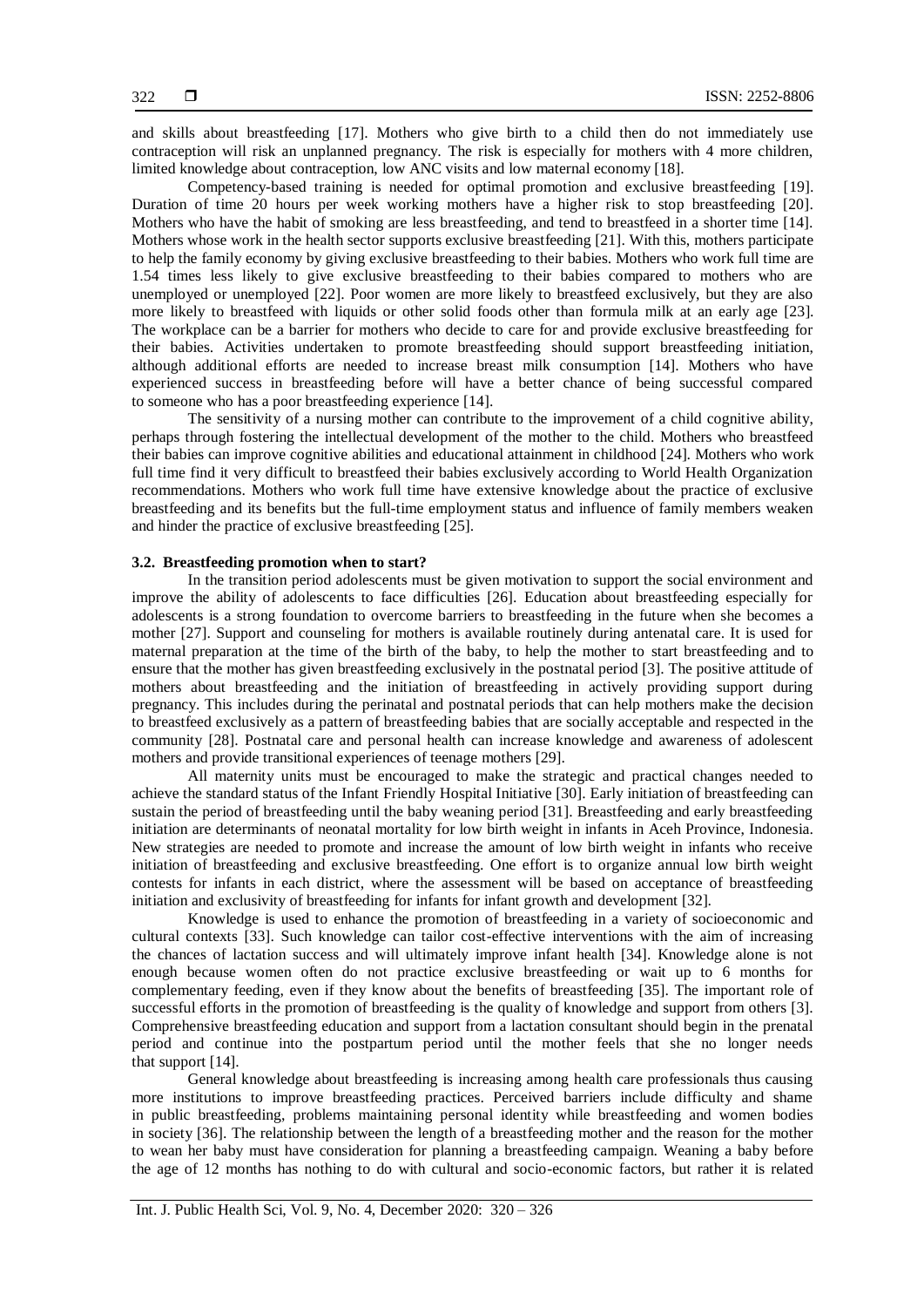and skills about breastfeeding [17]. Mothers who give birth to a child then do not immediately use contraception will risk an unplanned pregnancy. The risk is especially for mothers with 4 more children, limited knowledge about contraception, low ANC visits and low maternal economy [18].

Competency-based training is needed for optimal promotion and exclusive breastfeeding [19]. Duration of time 20 hours per week working mothers have a higher risk to stop breastfeeding [20]. Mothers who have the habit of smoking are less breastfeeding, and tend to breastfeed in a shorter time [14]. Mothers whose work in the health sector supports exclusive breastfeeding [21]. With this, mothers participate to help the family economy by giving exclusive breastfeeding to their babies. Mothers who work full time are 1.54 times less likely to give exclusive breastfeeding to their babies compared to mothers who are unemployed or unemployed [22]. Poor women are more likely to breastfeed exclusively, but they are also more likely to breastfeed with liquids or other solid foods other than formula milk at an early age [23]. The workplace can be a barrier for mothers who decide to care for and provide exclusive breastfeeding for their babies. Activities undertaken to promote breastfeeding should support breastfeeding initiation, although additional efforts are needed to increase breast milk consumption [14]. Mothers who have experienced success in breastfeeding before will have a better chance of being successful compared to someone who has a poor breastfeeding experience [14].

The sensitivity of a nursing mother can contribute to the improvement of a child cognitive ability, perhaps through fostering the intellectual development of the mother to the child. Mothers who breastfeed their babies can improve cognitive abilities and educational attainment in childhood [24]. Mothers who work full time find it very difficult to breastfeed their babies exclusively according to World Health Organization recommendations. Mothers who work full time have extensive knowledge about the practice of exclusive breastfeeding and its benefits but the full-time employment status and influence of family members weaken and hinder the practice of exclusive breastfeeding [25].

#### **3.2. Breastfeeding promotion when to start?**

In the transition period adolescents must be given motivation to support the social environment and improve the ability of adolescents to face difficulties [26]. Education about breastfeeding especially for adolescents is a strong foundation to overcome barriers to breastfeeding in the future when she becomes a mother [27]. Support and counseling for mothers is available routinely during antenatal care. It is used for maternal preparation at the time of the birth of the baby, to help the mother to start breastfeeding and to ensure that the mother has given breastfeeding exclusively in the postnatal period [3]. The positive attitude of mothers about breastfeeding and the initiation of breastfeeding in actively providing support during pregnancy. This includes during the perinatal and postnatal periods that can help mothers make the decision to breastfeed exclusively as a pattern of breastfeeding babies that are socially acceptable and respected in the community [28]. Postnatal care and personal health can increase knowledge and awareness of adolescent mothers and provide transitional experiences of teenage mothers [29].

All maternity units must be encouraged to make the strategic and practical changes needed to achieve the standard status of the Infant Friendly Hospital Initiative [30]. Early initiation of breastfeeding can sustain the period of breastfeeding until the baby weaning period [31]. Breastfeeding and early breastfeeding initiation are determinants of neonatal mortality for low birth weight in infants in Aceh Province, Indonesia. New strategies are needed to promote and increase the amount of low birth weight in infants who receive initiation of breastfeeding and exclusive breastfeeding. One effort is to organize annual low birth weight contests for infants in each district, where the assessment will be based on acceptance of breastfeeding initiation and exclusivity of breastfeeding for infants for infant growth and development [32].

Knowledge is used to enhance the promotion of breastfeeding in a variety of socioeconomic and cultural contexts [33]. Such knowledge can tailor cost-effective interventions with the aim of increasing the chances of lactation success and will ultimately improve infant health [34]. Knowledge alone is not enough because women often do not practice exclusive breastfeeding or wait up to 6 months for complementary feeding, even if they know about the benefits of breastfeeding [35]. The important role of successful efforts in the promotion of breastfeeding is the quality of knowledge and support from others [3]. Comprehensive breastfeeding education and support from a lactation consultant should begin in the prenatal period and continue into the postpartum period until the mother feels that she no longer needs that support [14].

General knowledge about breastfeeding is increasing among health care professionals thus causing more institutions to improve breastfeeding practices. Perceived barriers include difficulty and shame in public breastfeeding, problems maintaining personal identity while breastfeeding and women bodies in society [36]. The relationship between the length of a breastfeeding mother and the reason for the mother to wean her baby must have consideration for planning a breastfeeding campaign. Weaning a baby before the age of 12 months has nothing to do with cultural and socio-economic factors, but rather it is related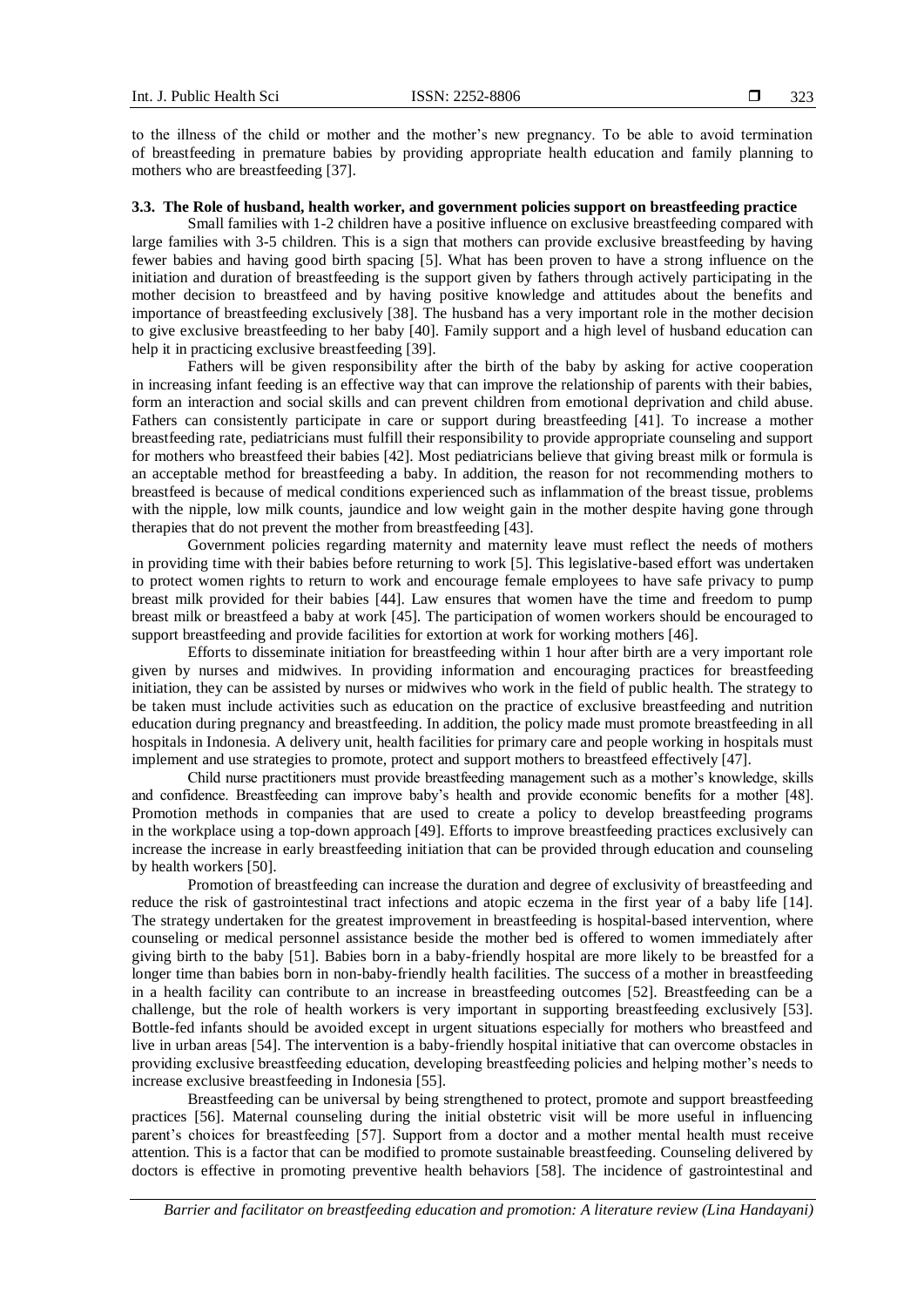to the illness of the child or mother and the mother's new pregnancy. To be able to avoid termination of breastfeeding in premature babies by providing appropriate health education and family planning to mothers who are breastfeeding [37].

### **3.3. The Role of husband, health worker, and government policies support on breastfeeding practice**

Small families with 1-2 children have a positive influence on exclusive breastfeeding compared with large families with 3-5 children. This is a sign that mothers can provide exclusive breastfeeding by having fewer babies and having good birth spacing [5]. What has been proven to have a strong influence on the initiation and duration of breastfeeding is the support given by fathers through actively participating in the mother decision to breastfeed and by having positive knowledge and attitudes about the benefits and importance of breastfeeding exclusively [38]. The husband has a very important role in the mother decision to give exclusive breastfeeding to her baby [40]. Family support and a high level of husband education can help it in practicing exclusive breastfeeding [39].

Fathers will be given responsibility after the birth of the baby by asking for active cooperation in increasing infant feeding is an effective way that can improve the relationship of parents with their babies, form an interaction and social skills and can prevent children from emotional deprivation and child abuse. Fathers can consistently participate in care or support during breastfeeding [41]. To increase a mother breastfeeding rate, pediatricians must fulfill their responsibility to provide appropriate counseling and support for mothers who breastfeed their babies [42]. Most pediatricians believe that giving breast milk or formula is an acceptable method for breastfeeding a baby. In addition, the reason for not recommending mothers to breastfeed is because of medical conditions experienced such as inflammation of the breast tissue, problems with the nipple, low milk counts, jaundice and low weight gain in the mother despite having gone through therapies that do not prevent the mother from breastfeeding [43].

Government policies regarding maternity and maternity leave must reflect the needs of mothers in providing time with their babies before returning to work [5]. This legislative-based effort was undertaken to protect women rights to return to work and encourage female employees to have safe privacy to pump breast milk provided for their babies [44]. Law ensures that women have the time and freedom to pump breast milk or breastfeed a baby at work [45]. The participation of women workers should be encouraged to support breastfeeding and provide facilities for extortion at work for working mothers [46].

Efforts to disseminate initiation for breastfeeding within 1 hour after birth are a very important role given by nurses and midwives. In providing information and encouraging practices for breastfeeding initiation, they can be assisted by nurses or midwives who work in the field of public health. The strategy to be taken must include activities such as education on the practice of exclusive breastfeeding and nutrition education during pregnancy and breastfeeding. In addition, the policy made must promote breastfeeding in all hospitals in Indonesia. A delivery unit, health facilities for primary care and people working in hospitals must implement and use strategies to promote, protect and support mothers to breastfeed effectively [47].

Child nurse practitioners must provide breastfeeding management such as a mother's knowledge, skills and confidence. Breastfeeding can improve baby's health and provide economic benefits for a mother [48]. Promotion methods in companies that are used to create a policy to develop breastfeeding programs in the workplace using a top-down approach [49]. Efforts to improve breastfeeding practices exclusively can increase the increase in early breastfeeding initiation that can be provided through education and counseling by health workers [50].

Promotion of breastfeeding can increase the duration and degree of exclusivity of breastfeeding and reduce the risk of gastrointestinal tract infections and atopic eczema in the first year of a baby life [14]. The strategy undertaken for the greatest improvement in breastfeeding is hospital-based intervention, where counseling or medical personnel assistance beside the mother bed is offered to women immediately after giving birth to the baby [51]. Babies born in a baby-friendly hospital are more likely to be breastfed for a longer time than babies born in non-baby-friendly health facilities. The success of a mother in breastfeeding in a health facility can contribute to an increase in breastfeeding outcomes [52]. Breastfeeding can be a challenge, but the role of health workers is very important in supporting breastfeeding exclusively [53]. Bottle-fed infants should be avoided except in urgent situations especially for mothers who breastfeed and live in urban areas [54]. The intervention is a baby-friendly hospital initiative that can overcome obstacles in providing exclusive breastfeeding education, developing breastfeeding policies and helping mother's needs to increase exclusive breastfeeding in Indonesia [55].

Breastfeeding can be universal by being strengthened to protect, promote and support breastfeeding practices [56]. Maternal counseling during the initial obstetric visit will be more useful in influencing parent's choices for breastfeeding [57]. Support from a doctor and a mother mental health must receive attention. This is a factor that can be modified to promote sustainable breastfeeding. Counseling delivered by doctors is effective in promoting preventive health behaviors [58]. The incidence of gastrointestinal and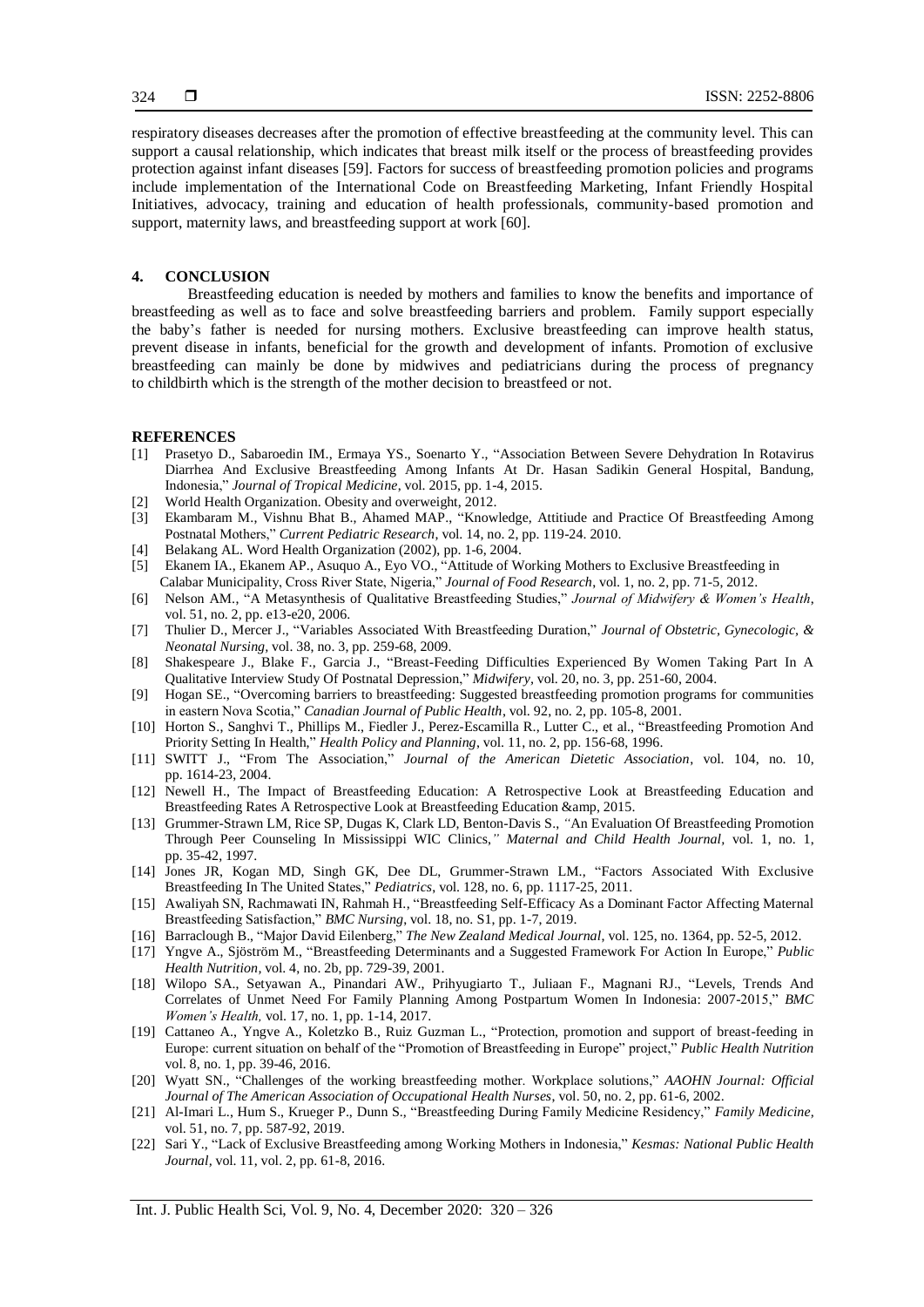respiratory diseases decreases after the promotion of effective breastfeeding at the community level. This can support a causal relationship, which indicates that breast milk itself or the process of breastfeeding provides protection against infant diseases [59]. Factors for success of breastfeeding promotion policies and programs include implementation of the International Code on Breastfeeding Marketing, Infant Friendly Hospital Initiatives, advocacy, training and education of health professionals, community-based promotion and support, maternity laws, and breastfeeding support at work [60].

#### **4. CONCLUSION**

Breastfeeding education is needed by mothers and families to know the benefits and importance of breastfeeding as well as to face and solve breastfeeding barriers and problem. Family support especially the baby's father is needed for nursing mothers. Exclusive breastfeeding can improve health status, prevent disease in infants, beneficial for the growth and development of infants. Promotion of exclusive breastfeeding can mainly be done by midwives and pediatricians during the process of pregnancy to childbirth which is the strength of the mother decision to breastfeed or not.

#### **REFERENCES**

- [1] Prasetyo D., Sabaroedin IM., Ermaya YS., Soenarto Y., "Association Between Severe Dehydration In Rotavirus Diarrhea And Exclusive Breastfeeding Among Infants At Dr. Hasan Sadikin General Hospital, Bandung, Indonesia," *Journal of Tropical Medicine*, vol. 2015, pp. 1-4, 2015.
- [2] World Health Organization. Obesity and overweight, 2012.
- [3] Ekambaram M., Vishnu Bhat B., Ahamed MAP., "Knowledge, Attitiude and Practice Of Breastfeeding Among Postnatal Mothers," *Current Pediatric Research*, vol. 14, no. 2, pp. 119-24. 2010.
- [4] Belakang AL. Word Health Organization (2002), pp. 1-6, 2004.
- [5] Ekanem IA., Ekanem AP., Asuquo A., Eyo VO., "Attitude of Working Mothers to Exclusive Breastfeeding in Calabar Municipality, Cross River State, Nigeria," *Journal of Food Research*, vol. 1, no. 2, pp. 71-5, 2012.
- [6] Nelson AM., "A Metasynthesis of Qualitative Breastfeeding Studies," *Journal of Midwifery & Women's Health*, vol. 51, no. 2, pp. e13-e20, 2006.
- [7] Thulier D., Mercer J., "Variables Associated With Breastfeeding Duration," *Journal of Obstetric, Gynecologic, & Neonatal Nursing,* vol. 38, no. 3, pp. 259-68, 2009.
- [8] Shakespeare J., Blake F., Garcia J., "Breast-Feeding Difficulties Experienced By Women Taking Part In A Qualitative Interview Study Of Postnatal Depression," *Midwifery,* vol. 20, no. 3, pp. 251-60, 2004.
- [9] Hogan SE., "Overcoming barriers to breastfeeding: Suggested breastfeeding promotion programs for communities in eastern Nova Scotia," *Canadian Journal of Public Health*, vol. 92, no. 2, pp. 105-8, 2001.
- [10] Horton S., Sanghvi T., Phillips M., Fiedler J., Perez-Escamilla R., Lutter C., et al., "Breastfeeding Promotion And Priority Setting In Health," *Health Policy and Planning*, vol. 11, no. 2, pp. 156-68, 1996.
- [11] SWITT J., "From The Association," *Journal of the American Dietetic Association*, vol. 104, no. 10, pp. 1614-23, 2004.
- [12] Newell H., The Impact of Breastfeeding Education: A Retrospective Look at Breastfeeding Education and Breastfeeding Rates A Retrospective Look at Breastfeeding Education &amp, 2015.
- [13] Grummer-Strawn LM, Rice SP, Dugas K, Clark LD, Benton*-*Davis S., *"*An Evaluation Of Breastfeeding Promotion Through Peer Counseling In Mississippi WIC Clinics,*" Maternal and Child Health Journal,* vol. 1, no. 1, pp. 35-42, 1997.
- [14] Jones JR, Kogan MD, Singh GK, Dee DL, Grummer-Strawn LM., "Factors Associated With Exclusive Breastfeeding In The United States," *Pediatrics*, vol. 128, no. 6, pp. 1117-25, 2011.
- [15] Awaliyah SN, Rachmawati IN, Rahmah H., "Breastfeeding Self-Efficacy As a Dominant Factor Affecting Maternal Breastfeeding Satisfaction," *BMC Nursing*, vol. 18, no. S1, pp. 1-7, 2019.
- [16] Barraclough B., "Major David Eilenberg," *The New Zealand Medical Journal*, vol. 125, no. 1364, pp. 52-5, 2012.
- [17] Yngve A., Sjöström M., "Breastfeeding Determinants and a Suggested Framework For Action In Europe," *Public Health Nutrition,* vol. 4, no. 2b, pp. 729-39, 2001.
- [18] Wilopo SA., Setyawan A., Pinandari AW., Prihyugiarto T., Juliaan F., Magnani RJ., "Levels, Trends And Correlates of Unmet Need For Family Planning Among Postpartum Women In Indonesia: 2007-2015," *BMC Women's Health,* vol. 17, no. 1, pp. 1-14, 2017.
- [19] Cattaneo A., Yngve A., Koletzko B., Ruiz Guzman L., "Protection, promotion and support of breast-feeding in Europe: current situation on behalf of the "Promotion of Breastfeeding in Europe" project," *[Public Health Nutrition](https://www.researchgate.net/journal/1368-9800_Public_Health_Nutrition)* vol. 8, no. 1, pp. 39-46, 2016.
- [20] Wyatt SN., "Challenges of the working breastfeeding mother. Workplace solutions," *AAOHN Journal: Official Journal of The American Association of Occupational Health Nurses*, vol. 50, no. 2, pp. 61-6, 2002.
- [21] Al-Imari L., Hum S., Krueger P., Dunn S., "Breastfeeding During Family Medicine Residency," *Family Medicine,* vol. 51, no. 7, pp. 587-92, 2019.
- [22] Sari Y., "Lack of Exclusive Breastfeeding among Working Mothers in Indonesia," *Kesmas: National Public Health Journal,* vol. 11, vol. 2, pp. 61-8, 2016.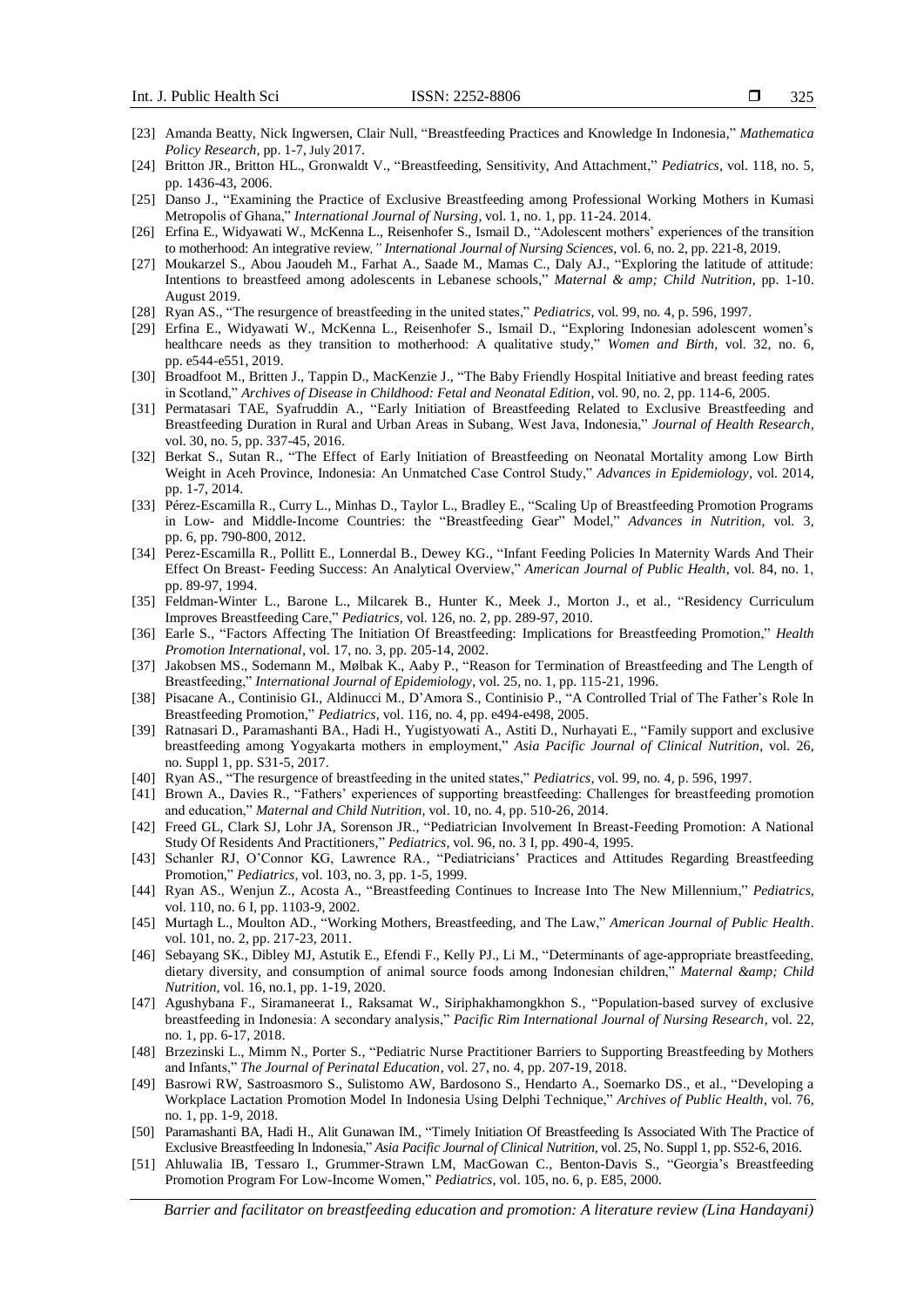- [23] Amanda Beatty, Nick Ingwersen, Clair Null, "Breastfeeding Practices and Knowledge In Indonesia," *Mathematica Policy Research,* pp. 1-7, July 2017.
- [24] Britton JR., Britton HL., Gronwaldt V., "Breastfeeding, Sensitivity, And Attachment," *Pediatrics,* vol. 118, no. 5, pp. 1436-43, 2006.
- [25] Danso J., "Examining the Practice of Exclusive Breastfeeding among Professional Working Mothers in Kumasi Metropolis of Ghana," *International Journal of Nursing*, vol. 1, no. 1, pp. 11-24. 2014.
- [26] Erfina E., Widyawati W., McKenna L., Reisenhofer S., Ismail D., "Adolescent mothers' experiences of the transition to motherhood: An integrative review*," International Journal of Nursing Sciences*, vol. 6, no. 2, pp. 221-8, 2019.
- [27] Moukarzel S., Abou Jaoudeh M., Farhat A., Saade M., Mamas C., Daly AJ., "Exploring the latitude of attitude: Intentions to breastfeed among adolescents in Lebanese schools," *Maternal & amp; Child Nutrition*, pp. 1-10. August 2019.
- [28] Ryan AS., "The resurgence of breastfeeding in the united states," *Pediatrics,* vol. 99, no. 4, p. 596, 1997.
- [29] Erfina E., Widyawati W., McKenna L., Reisenhofer S., Ismail D., "Exploring Indonesian adolescent women's healthcare needs as they transition to motherhood: A qualitative study," *Women and Birth*, vol. 32, no. 6, pp. e544-e551, 2019.
- [30] Broadfoot M., Britten J., Tappin D., MacKenzie J., "The Baby Friendly Hospital Initiative and breast feeding rates in Scotland," *Archives of Disease in Childhood: Fetal and Neonatal Edition*, vol. 90, no. 2, pp. 114-6, 2005.
- [31] Permatasari TAE, Syafruddin A., "Early Initiation of Breastfeeding Related to Exclusive Breastfeeding and Breastfeeding Duration in Rural and Urban Areas in Subang, West Java, Indonesia," *Journal of Health Research,* vol. 30, no. 5, pp. 337-45, 2016.
- [32] Berkat S., Sutan R., "The Effect of Early Initiation of Breastfeeding on Neonatal Mortality among Low Birth Weight in Aceh Province, Indonesia: An Unmatched Case Control Study," *Advances in Epidemiology,* vol. 2014, pp. 1-7, 2014.
- [33] Pérez-Escamilla R., Curry L., Minhas D., Taylor L., Bradley E., "Scaling Up of Breastfeeding Promotion Programs in Low- and Middle-Income Countries: the "Breastfeeding Gear" Model," *Advances in Nutrition,* vol. 3, pp. 6, pp. 790-800, 2012.
- [34] Perez-Escamilla R., Pollitt E., Lonnerdal B., Dewey KG., "Infant Feeding Policies In Maternity Wards And Their Effect On Breast- Feeding Success: An Analytical Overview," *American Journal of Public Health*, vol. 84, no. 1, pp. 89-97, 1994.
- [35] Feldman-Winter L., Barone L., Milcarek B., Hunter K., Meek J., Morton J., et al., "Residency Curriculum Improves Breastfeeding Care," *Pediatrics,* vol. 126, no. 2, pp. 289-97, 2010.
- [36] Earle S., "Factors Affecting The Initiation Of Breastfeeding: Implications for Breastfeeding Promotion," *Health Promotion International*, vol. 17, no. 3, pp. 205-14, 2002.
- [37] Jakobsen MS., Sodemann M., Mølbak K., Aaby P., "Reason for Termination of Breastfeeding and The Length of Breastfeeding," *International Journal of Epidemiology*, vol. 25, no. 1, pp. 115-21, 1996.
- [38] Pisacane A., Continisio GI., Aldinucci M., D'Amora S., Continisio P., "A Controlled Trial of The Father's Role In Breastfeeding Promotion," *Pediatrics*, vol. 116, no. 4, pp. e494-e498, 2005.
- [39] Ratnasari D., Paramashanti BA., Hadi H., Yugistyowati A., Astiti D., Nurhayati E., "Family support and exclusive breastfeeding among Yogyakarta mothers in employment," *Asia Pacific Journal of Clinical Nutrition*, vol. 26, no. Suppl 1, pp. S31-5, 2017.
- [40] Ryan AS., "The resurgence of breastfeeding in the united states," *Pediatrics,* vol. 99, no. 4, p. 596, 1997.
- [41] Brown A., Davies R., "Fathers' experiences of supporting breastfeeding: Challenges for breastfeeding promotion and education," *Maternal and Child Nutrition*, vol. 10, no. 4, pp. 510-26, 2014.
- [42] Freed GL, Clark SJ, Lohr JA, Sorenson JR., "Pediatrician Involvement In Breast-Feeding Promotion: A National Study Of Residents And Practitioners," *Pediatrics,* vol. 96, no. 3 I, pp. 490-4, 1995.
- [43] Schanler RJ, O'Connor KG, Lawrence RA., "Pediatricians' Practices and Attitudes Regarding Breastfeeding Promotion," *Pediatrics*, vol. 103, no. 3, pp. 1-5, 1999.
- [44] Ryan AS., Wenjun Z., Acosta A., "Breastfeeding Continues to Increase Into The New Millennium," *Pediatrics*, vol. 110, no. 6 I, pp. 1103-9, 2002.
- [45] Murtagh L., Moulton AD., "Working Mothers, Breastfeeding, and The Law," *American Journal of Public Health*. vol. 101, no. 2, pp. 217-23, 2011.
- [46] Sebayang SK., Dibley MJ, Astutik E., Efendi F., Kelly PJ., Li M., "Determinants of age-appropriate breastfeeding, dietary diversity, and consumption of animal source foods among Indonesian children," *Maternal &amp*; Child *Nutrition,* vol. 16, no.1, pp. 1-19, 2020.
- [47] Agushybana F., Siramaneerat I., Raksamat W., Siriphakhamongkhon S., "Population-based survey of exclusive breastfeeding in Indonesia: A secondary analysis," *Pacific Rim International Journal of Nursing Research*, vol. 22, no. 1, pp. 6-17, 2018.
- [48] Brzezinski L., Mimm N., Porter S., "Pediatric Nurse Practitioner Barriers to Supporting Breastfeeding by Mothers and Infants," *The Journal of Perinatal Education*, vol. 27, no. 4, pp. 207-19, 2018.
- [49] Basrowi RW, Sastroasmoro S., Sulistomo AW, Bardosono S., Hendarto A., Soemarko DS., et al., "Developing a Workplace Lactation Promotion Model In Indonesia Using Delphi Technique," *Archives of Public Health*, vol. 76, no. 1, pp. 1-9, 2018.
- [50] Paramashanti BA, Hadi H., Alit Gunawan IM., "Timely Initiation Of Breastfeeding Is Associated With The Practice of Exclusive Breastfeeding In Indonesia," *Asia Pacific Journal of Clinical Nutrition*, vol. 25, No. Suppl 1, pp. S52-6, 2016.
- [51] Ahluwalia IB, Tessaro I., Grummer-Strawn LM, MacGowan C., Benton-Davis S., "Georgia's Breastfeeding Promotion Program For Low-Income Women," *Pediatrics,* vol. 105, no. 6, p. E85, 2000.

*Barrier and facilitator on breastfeeding education and promotion: A literature review (Lina Handayani)*